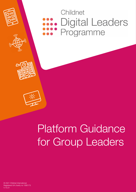

# Childnet **Digital Leaders** Programme





# Platform Guidance for Group Leaders

© 2021 Childnet International Registered UK charity no 1080173 V.10.21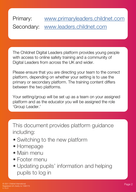#### Primary: [www.primaryleaders.childnet.com](http://www.primaryleaders.childnet.com) Secondary: [www.leaders.childnet.com](http://www.leaders.childnet.com)

fgcghjb

The Childnet Digital Leaders platform provides young people with access to online safety training and a community of Digital Leaders from across the UK and wider.

Please ensure that you are directing your team to the correct platform, depending on whether your setting is to use the primary or secondary platform. The training content differs between the two platforms.

Your setting/group will be set up as a team on your assigned platform and as the educator you will be assigned the role 'Group Leader.'

This document provides platform guidance including:

- Switching to the new platform
- Homepage
- Main menu
- Footer menu
- Updating pupils' information and helping pupils to log in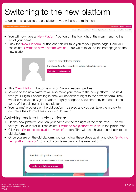#### fgcghjb Switching to the new platform

Logging in as usual to the old platform, you will see the main menu:

Home, Mc Team, Leaderboard, Activities, District Charmions, Community, Industry OSA

- You will now have a 'New Platform' button on the top right of the main menu, to the left of your name.
- Click the 'New Platform' button and this will take you to your profile page. Here you can select 'Switch to new platform version'. This will take you to the homepage on the new platform.

| Switch to new platform version                                                                                        |
|-----------------------------------------------------------------------------------------------------------------------|
| This will switch the platform version for you and your students to the new version.<br>Switch to new platform version |
|                                                                                                                       |

- This 'New Platform' button is only on Group Leaders' profiles.
- Moving to the new platform will also move your team to the new platform. The next time your Digital Leaders log in, they will be taken straight to the new platform. They will also receive the Digital Leaders Legacy badge to show that they had completed some of the training on the old platform.
- Your teams' progress on the old platform is saved and you can take them back to complete the old modules if your would like to.

#### Switching back to the old platform:

- On the new platform, click on your name on the top right of the main menu. This will take you to your profile. Then select 'Switch to old platform version' in the profile menu.
- Click the 'Switch to old platform version' button. This will switch your team back to the old platform.
- Once you are on the old platform, you can follow these steps again and click 'Switch to new platform version' to switch your team back to the new platform.

| Switch to old platform version |                                                                                     |  |
|--------------------------------|-------------------------------------------------------------------------------------|--|
|                                | This will switch the platform version for you and your students to the old version. |  |
|                                |                                                                                     |  |
| Switch to old platform version |                                                                                     |  |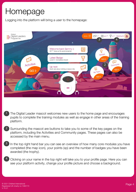### Homepage

Logging into the platform will bring a user to the homepage:



fgcghjb

- The Digital Leader mascot welcomes new users to the home page and encourages pupils to complete the training modules as well as engage in other areas of the training platform. 1
- Surrounding the mascot are buttons to take you to some of the key pages on the platform, including the Activities and Community pages. These pages can also be accessed by the main menu. 2
- In the top right hand bar you can see an overview of how many core modules you have completed (the map icon), your points (xp) and the number of badges you have been awarded (the trophy). 3
- Clicking on your name in the top right will take you to your profile page. Here you can see your platform activity, change your profile picture and choose a background. 4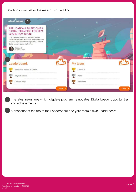fgcghjb Scrolling down below the mascot, you will find:



The latest news area which displays programme updates, Digital Leader opportunities and achievements. 5

A snapshot of the top of the Leaderboard and your team's own Leaderboard. 6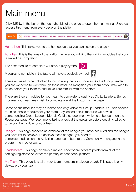## Main menu

Click MENU in the bar on the top right side of the page to open the main menu. Users can access this menu from every page on the platform:

fgcghjb



Home icon: This takes you to the homepage that you can see on the page 4.

Activities: This is the area of the platform where you will find the training modules that your team will be completing.

The next module to complete will have a play symbol:

Modules to complete in the future will have a padlock symbol:



These will need to be unlocked by completing the prior modules. As the Group Leader, you are welcome to work through these modules alongside your team or you may wish to do so before your team to ensure you are familiar with the content.

There are 8 core modules for your team to complete to qualify as Digital Leaders. Bonus modules your team may wish to complete are at the bottom of the page.

Some bonus modules may be locked and only visible for Group Leaders. You can choose to unlock these modules for your team. Any locked bonus modules will have a corresponding Group Leaders Module Guidance document which can be found on the Resources page. We recommend taking a look at the guidance before deciding whether to unlock the module for your team.

Badges: This page provides an overview of the badges you have achieved and the badges you have left to achieve. To achieve these badges, you need to complete modules on the Activities page, contribute to the Community or engage in the programme in other ways.

Leaderboard: This page displays a ranked leaderboard of team points from all of the settings registered on either the primary or secondary platform.

My Team: This page lists all of your team members in a leaderboard. This page is only viewable by your team.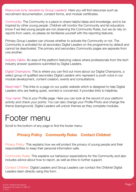Resources (only viewable by Group Leaders): Here you will find resources such as recruitment documentation, consent forms, and module certificates.

Community: The Community is a place to share helpful ideas and knowledge, and to be inspired by other young people. Childnet will monitor the Community and let educators know if we feel young people are not observing the Community Rules, but we do rely on reports from users, so please do familiarise yourself with the reporting features.

Primary Group Leaders can choose whether to activate the Community or not. The Community is activated for all secondary Digital Leaders on the programme by default and cannot be deactivated. The primary and secondary Community pages are separate from one another.

Industry Q&As: An area of the platform featuring videos where professionals from the tech industry answer questions submitted by Digital Leaders.

Digital Champions: This is where you can find out more about our Digital Champions, a select group of qualified secondary Digital Leaders who represent a youth voice in our module development, content creation, events and consultations.

Need help?: This links to a page on our public website which is designed to help Digital Leaders who are feeling upset, worried or concerned. It provides links to helplines.

Your name: This is your Profile page. Here you can look at the record of your platform activity and check your points. You can also change your Profile Photo and change the theme (background). Digital Leaders will unlock themes as they complete modules.

#### Footer menu

Scroll to the bottom of any page to find the footer menu:

#### **Privacy Policy Community Rules Contact Childnet**

Privacy Policy: This explains how we will protect the privacy of young people and their responsibilities to keep their personal information safe.

Community Rules: This explains our behaviour expectations for the Community and also includes advice about how to report, as well as links to further support.

Contact Childnet: Digital Leaders and Group Leaders can contact the Childnet Digital Leaders team directly using this form.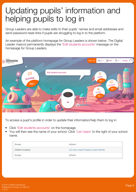### Updating pupils' information and helping pupils to log in

Group Leaders are able to make edits to their pupils' names and email addresses and send password reset links if pupils are struggling to log in to the platform.

An example of the platform homepage for Group Leaders is shown below. The Digital Leader mascot permanently displays the 'Edit students accounts' message on the homepage for Group Leaders.



To access a pupil's profile in order to update their information/help them to log in:

- Click 'Edit students accounts' on the homepage.
- You will then see the name of your school. Click 'List Users' to the right of your school name.

| Groups                  | Actions                                       |
|-------------------------|-----------------------------------------------|
| <b>Childnet Academy</b> | List Users   Export Progress   Export Results |
| Groups                  | Actions                                       |